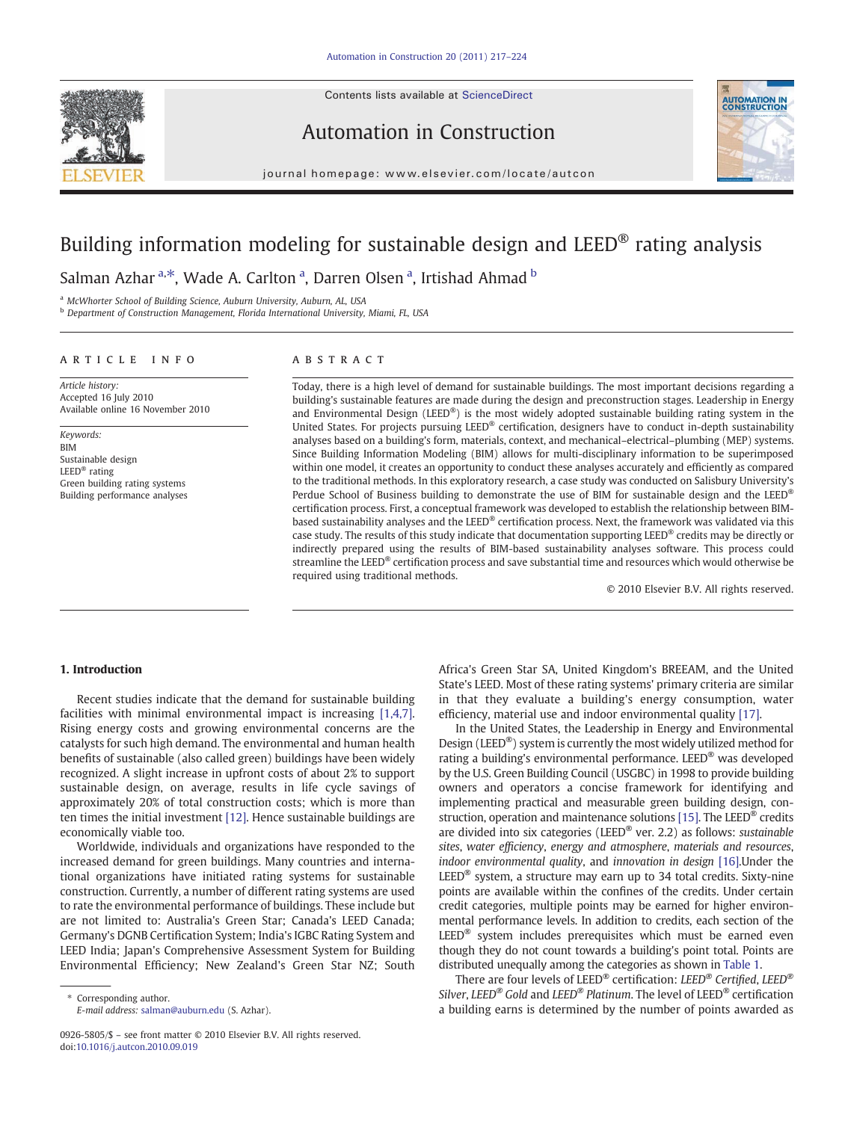Contents lists available at ScienceDirect



Automation in Construction



journal homepage: www.elsevier.com/locate/autcon

# Building information modeling for sustainable design and LEED® rating analysis

Salman Azhar <sup>a, $*$ </sup>, Wade A. Carlton <sup>a</sup>, Darren Olsen <sup>a</sup>, Irtishad Ahmad <sup>b</sup>

<sup>a</sup> McWhorter School of Building Science, Auburn University, Auburn, AL, USA

b Department of Construction Management, Florida International University, Miami, FL, USA

### article info abstract

Article history: Accepted 16 July 2010 Available online 16 November 2010

Keywords: BIM Sustainable design LEED® rating Green building rating systems Building performance analyses

Today, there is a high level of demand for sustainable buildings. The most important decisions regarding a building's sustainable features are made during the design and preconstruction stages. Leadership in Energy and Environmental Design (LEED®) is the most widely adopted sustainable building rating system in the United States. For projects pursuing LEED® certification, designers have to conduct in-depth sustainability analyses based on a building's form, materials, context, and mechanical–electrical–plumbing (MEP) systems. Since Building Information Modeling (BIM) allows for multi-disciplinary information to be superimposed within one model, it creates an opportunity to conduct these analyses accurately and efficiently as compared to the traditional methods. In this exploratory research, a case study was conducted on Salisbury University's Perdue School of Business building to demonstrate the use of BIM for sustainable design and the LEED® certification process. First, a conceptual framework was developed to establish the relationship between BIMbased sustainability analyses and the LEED® certification process. Next, the framework was validated via this case study. The results of this study indicate that documentation supporting LEED® credits may be directly or indirectly prepared using the results of BIM-based sustainability analyses software. This process could streamline the LEED® certification process and save substantial time and resources which would otherwise be required using traditional methods.

© 2010 Elsevier B.V. All rights reserved.

## 1. Introduction

Recent studies indicate that the demand for sustainable building facilities with minimal environmental impact is increasing [\[1,4,7\].](#page--1-0) Rising energy costs and growing environmental concerns are the catalysts for such high demand. The environmental and human health benefits of sustainable (also called green) buildings have been widely recognized. A slight increase in upfront costs of about 2% to support sustainable design, on average, results in life cycle savings of approximately 20% of total construction costs; which is more than ten times the initial investment [\[12\]](#page--1-0). Hence sustainable buildings are economically viable too.

Worldwide, individuals and organizations have responded to the increased demand for green buildings. Many countries and international organizations have initiated rating systems for sustainable construction. Currently, a number of different rating systems are used to rate the environmental performance of buildings. These include but are not limited to: Australia's Green Star; Canada's LEED Canada; Germany's DGNB Certification System; India's IGBC Rating System and LEED India; Japan's Comprehensive Assessment System for Building Environmental Efficiency; New Zealand's Green Star NZ; South

Corresponding author. E-mail address: [salman@auburn.edu](mailto:salman@auburn.edu) (S. Azhar). Africa's Green Star SA, United Kingdom's BREEAM, and the United State's LEED. Most of these rating systems' primary criteria are similar in that they evaluate a building's energy consumption, water efficiency, material use and indoor environmental quality [\[17\]](#page--1-0).

In the United States, the Leadership in Energy and Environmental Design (LEED®) system is currently the most widely utilized method for rating a building's environmental performance. LEED® was developed by the U.S. Green Building Council (USGBC) in 1998 to provide building owners and operators a concise framework for identifying and implementing practical and measurable green building design, construction, operation and maintenance solutions [\[15\]](#page--1-0). The LEED® credits are divided into six categories (LEED® ver. 2.2) as follows: sustainable sites, water efficiency, energy and atmosphere, materials and resources, indoor environmental quality, and innovation in design [\[16\].](#page--1-0)Under the LEED® system, a structure may earn up to 34 total credits. Sixty-nine points are available within the confines of the credits. Under certain credit categories, multiple points may be earned for higher environmental performance levels. In addition to credits, each section of the LEED® system includes prerequisites which must be earned even though they do not count towards a building's point total. Points are distributed unequally among the categories as shown in [Table 1.](#page-1-0)

There are four levels of LEED® certification:  $LEED^{\circledast}$  Certified,  $LEED^{\circledast}$ Silver, LEED® Gold and LEED® Platinum. The level of LEED® certification a building earns is determined by the number of points awarded as

<sup>0926-5805/\$</sup> – see front matter © 2010 Elsevier B.V. All rights reserved. doi:[10.1016/j.autcon.2010.09.019](http://dx.doi.org/10.1016/j.autcon.2010.09.019)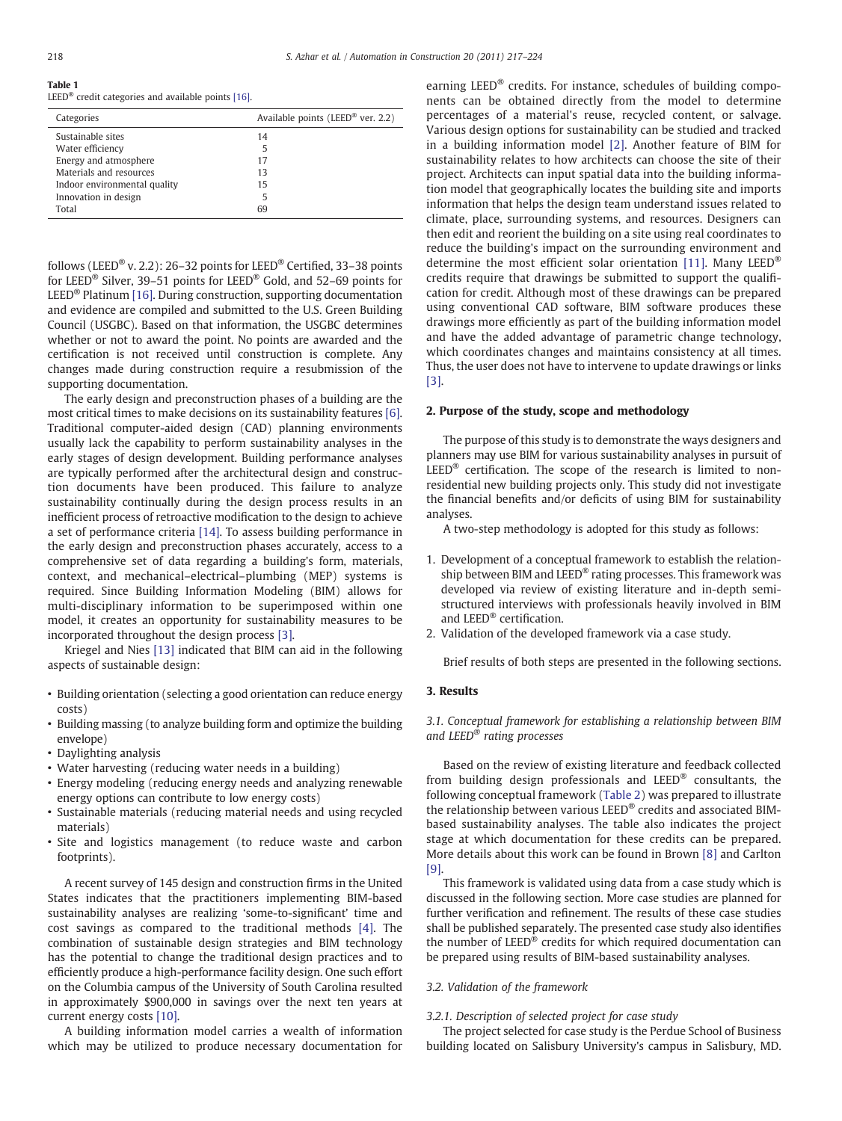<span id="page-1-0"></span>

| Table 1 |                                                                |  |  |
|---------|----------------------------------------------------------------|--|--|
|         | LEED <sup>®</sup> credit categories and available points [16]. |  |  |

| Categories                   | Available points (LEED® ver. 2.2) |  |  |
|------------------------------|-----------------------------------|--|--|
| Sustainable sites            | 14                                |  |  |
| Water efficiency             | 5                                 |  |  |
| Energy and atmosphere        | 17                                |  |  |
| Materials and resources      | 13                                |  |  |
| Indoor environmental quality | 15                                |  |  |
| Innovation in design         | 5                                 |  |  |
| Total                        | 69                                |  |  |

follows (LEED<sup>®</sup> v. 2.2): 26–32 points for LEED<sup>®</sup> Certified, 33–38 points for LEED® Silver, 39–51 points for LEED® Gold, and 52–69 points for LEED® Platinum [\[16\]](#page--1-0). During construction, supporting documentation and evidence are compiled and submitted to the U.S. Green Building Council (USGBC). Based on that information, the USGBC determines whether or not to award the point. No points are awarded and the certification is not received until construction is complete. Any changes made during construction require a resubmission of the supporting documentation.

The early design and preconstruction phases of a building are the most critical times to make decisions on its sustainability features [\[6\].](#page--1-0) Traditional computer-aided design (CAD) planning environments usually lack the capability to perform sustainability analyses in the early stages of design development. Building performance analyses are typically performed after the architectural design and construction documents have been produced. This failure to analyze sustainability continually during the design process results in an inefficient process of retroactive modification to the design to achieve a set of performance criteria [\[14\]](#page--1-0). To assess building performance in the early design and preconstruction phases accurately, access to a comprehensive set of data regarding a building's form, materials, context, and mechanical–electrical–plumbing (MEP) systems is required. Since Building Information Modeling (BIM) allows for multi-disciplinary information to be superimposed within one model, it creates an opportunity for sustainability measures to be incorporated throughout the design process [\[3\].](#page--1-0)

Kriegel and Nies [\[13\]](#page--1-0) indicated that BIM can aid in the following aspects of sustainable design:

- Building orientation (selecting a good orientation can reduce energy costs)
- Building massing (to analyze building form and optimize the building envelope)
- Daylighting analysis
- Water harvesting (reducing water needs in a building)
- Energy modeling (reducing energy needs and analyzing renewable energy options can contribute to low energy costs)
- Sustainable materials (reducing material needs and using recycled materials)
- Site and logistics management (to reduce waste and carbon footprints).

A recent survey of 145 design and construction firms in the United States indicates that the practitioners implementing BIM-based sustainability analyses are realizing 'some-to-significant' time and cost savings as compared to the traditional methods [\[4\]](#page--1-0). The combination of sustainable design strategies and BIM technology has the potential to change the traditional design practices and to efficiently produce a high-performance facility design. One such effort on the Columbia campus of the University of South Carolina resulted in approximately \$900,000 in savings over the next ten years at current energy costs [\[10\]](#page--1-0).

A building information model carries a wealth of information which may be utilized to produce necessary documentation for

earning LEED® credits. For instance, schedules of building components can be obtained directly from the model to determine percentages of a material's reuse, recycled content, or salvage. Various design options for sustainability can be studied and tracked in a building information model [\[2\].](#page--1-0) Another feature of BIM for sustainability relates to how architects can choose the site of their project. Architects can input spatial data into the building information model that geographically locates the building site and imports information that helps the design team understand issues related to climate, place, surrounding systems, and resources. Designers can then edit and reorient the building on a site using real coordinates to reduce the building's impact on the surrounding environment and determine the most efficient solar orientation [\[11\].](#page--1-0) Many LEED® credits require that drawings be submitted to support the qualification for credit. Although most of these drawings can be prepared using conventional CAD software, BIM software produces these drawings more efficiently as part of the building information model and have the added advantage of parametric change technology, which coordinates changes and maintains consistency at all times. Thus, the user does not have to intervene to update drawings or links [\[3\]](#page--1-0).

#### 2. Purpose of the study, scope and methodology

The purpose of this study is to demonstrate the ways designers and planners may use BIM for various sustainability analyses in pursuit of LEED® certification. The scope of the research is limited to nonresidential new building projects only. This study did not investigate the financial benefits and/or deficits of using BIM for sustainability analyses.

A two-step methodology is adopted for this study as follows:

- 1. Development of a conceptual framework to establish the relationship between BIM and LEED® rating processes. This framework was developed via review of existing literature and in-depth semistructured interviews with professionals heavily involved in BIM and LEED® certification.
- 2. Validation of the developed framework via a case study.

Brief results of both steps are presented in the following sections.

# 3. Results

3.1. Conceptual framework for establishing a relationship between BIM and LEED® rating processes

Based on the review of existing literature and feedback collected from building design professionals and LEED® consultants, the following conceptual framework [\(Table 2](#page--1-0)) was prepared to illustrate the relationship between various LEED® credits and associated BIMbased sustainability analyses. The table also indicates the project stage at which documentation for these credits can be prepared. More details about this work can be found in Brown [\[8\]](#page--1-0) and Carlton [\[9\]](#page--1-0).

This framework is validated using data from a case study which is discussed in the following section. More case studies are planned for further verification and refinement. The results of these case studies shall be published separately. The presented case study also identifies the number of LEED® credits for which required documentation can be prepared using results of BIM-based sustainability analyses.

### 3.2. Validation of the framework

### 3.2.1. Description of selected project for case study

The project selected for case study is the Perdue School of Business building located on Salisbury University's campus in Salisbury, MD.